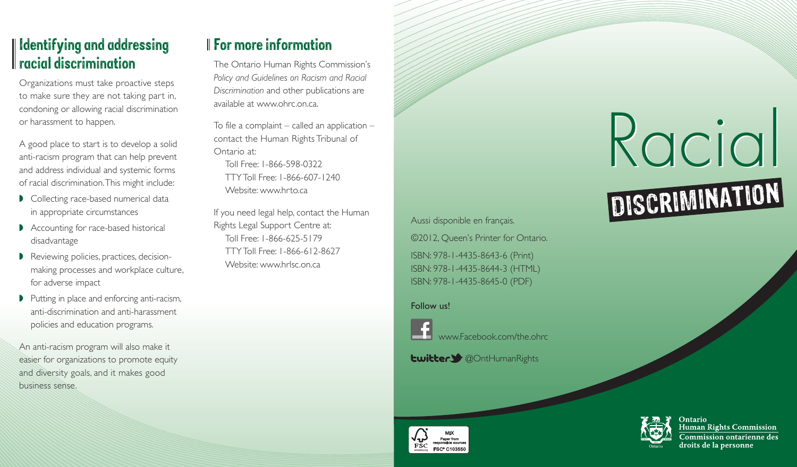### Identifying and addressing racial discrimination

Organizations must take proactive steps to make sure they are not taking part in, condoning or allowing racial discrimination or harassment to happen.

A good place to start is to develop a solid anti-racism program that can help prevent and address individual and systemic forms of racial discrimination. This might include:

- Collecting race-based numerical data in appropriate circumstances
- Accounting for race-based historical disadvantage
- ▶ Reviewing policies, practices, decisionmaking processes and workplace culture, for adverse impact
- ▶ Putting in place and enforcing anti-racism, anti-discrimination and anti-harassment policies and education programs.

An anti-racism program will also make it easier for organizations to promote equity and diversity goals, and it makes good business sense.

## For more information

The Ontario Human Rights Commission's *Policy and Guidelines on Racism and Racial Discrimination* and other publications are available at [www.ohrc.on.ca.](http://www.ohrc.on.ca)

To file a complaint  $-$  called an application  $$ contact the Human Rights Tribunal of Ontario at:

Toll Free: 1-866-598-0322 TTY Toll Free: 1-866-607-1240 Website: www.hrto.ca

If you need legal help, contact the Human Rights Legal Support Centre at: Toll Free: 1-866-625-5179 TTY Toll Free: 1-866-612-8627 Website: [www.hrlsc.on.ca](http://www.hrlsc.on.ca) 

Aussi disponible en français. ©2012, Queen's Printer for Ontario. ISBN: 978-1-4435-8643-6 (Print) ISBN: 978-1-4435-8644-3 (HTML) ISBN: 978-1-4435-8645-0 (PDF)

#### Follow us!



www.Facebook.com/the.ohrc

**Lwitter >** @OntHumanRights



# Racial Racial DISCRIMINATION



**Human Rights Commission Commission ontarienne des** droits de la personne